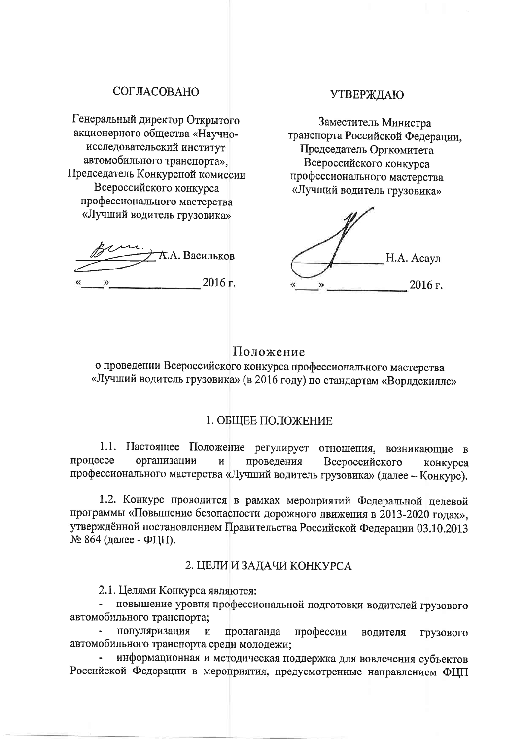# СОГЛАСОВАНО

Генеральный директор Открытого акционерного общества «Научноисследовательский институт автомобильного транспорта». Председатель Конкурсной комиссии Всероссийского конкурса профессионального мастерства «Лучший водитель грузовика»

**А.А. Васильков** 2016 г.  $\rightarrow$ 

#### **УТВЕРЖДАЮ**

Заместитель Министра транспорта Российской Федерации. Председатель Оргкомитета Всероссийского конкурса профессионального мастерства «Лучший водитель грузовика»

Н.А. Асаул 2016 г.

## Положение

о проведении Всероссийского конкурса профессионального мастерства «Лучший водитель грузовика» (в 2016 году) по стандартам «Ворлдскиллс»

#### 1. ОБЩЕЕ ПОЛОЖЕНИЕ

1.1. Настоящее Положение регулирует отношения, возникающие в процессе организации  $\overline{\mathbf{M}}$ проведения Всероссийского конкурса профессионального мастерства «Лучший водитель грузовика» (далее - Конкурс).

1.2. Конкурс проводится в рамках мероприятий Федеральной целевой программы «Повышение безопасности дорожного движения в 2013-2020 годах», утверждённой постановлением Правительства Российской Федерации 03.10.2013 № 864 (далее - ФЦП).

## 2. ЦЕЛИ И ЗАДАЧИ КОНКУРСА

2.1. Целями Конкурса являются:

повышение уровня профессиональной подготовки водителей грузового автомобильного транспорта;

популяризация  $\overline{M}$ пропаганда профессии водителя грузового автомобильного транспорта среди молодежи;

информационная и методическая поддержка для вовлечения субъектов Российской Федерации в мероприятия, предусмотренные направлением ФЦП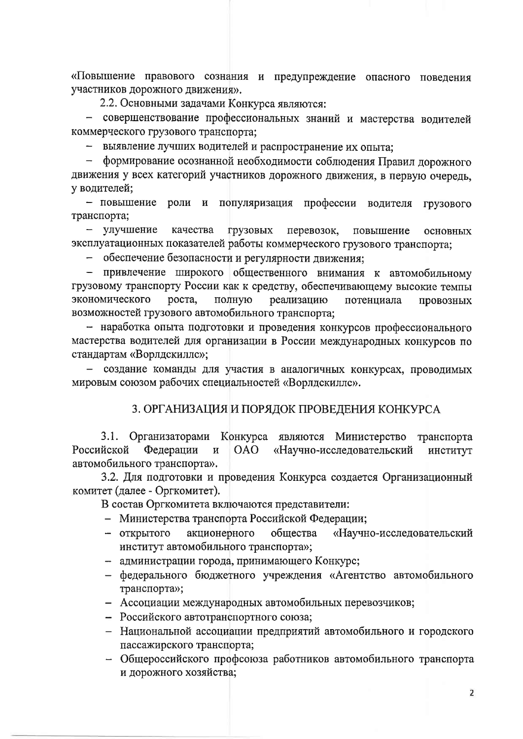«Повышение правового сознания и предупреждение опасного поведения участников дорожного движения».

2.2. Основными задачами Конкурса являются:

- совершенствование профессиональных знаний и мастерства водителей коммерческого грузового транспорта:

- выявление лучших водителей и распространение их опыта;

- формирование осознанной необходимости соблюдения Правил дорожного движения у всех категорий участников дорожного движения, в первую очередь. у водителей:

- повышение роли и популяризация профессии водителя грузового транспорта;

- улучшение грузовых качества перевозок, повышение основных эксплуатационных показателей работы коммерческого грузового транспорта;

- обеспечение безопасности и регулярности движения:

привлечение широкого общественного внимания к автомобильному  $\equiv$ грузовому транспорту России как к средству, обеспечивающему высокие темпы экономического роста, полную реализацию потенциала провозных возможностей грузового автомобильного транспорта;

- наработка опыта подготовки и проведения конкурсов профессионального мастерства водителей для организации в России международных конкурсов по стандартам «Ворлдскилле»;

- создание команды для участия в аналогичных конкурсах, проводимых мировым союзом рабочих специальностей «Ворлдскиллс».

## 3. ОРГАНИЗАЦИЯ И ПОРЯДОК ПРОВЕДЕНИЯ КОНКУРСА

 $3.1.$ Организаторами Конкурса являются Министерство транспорта Федерации **OAO** «Научно-исследовательский институт Российской  $\overline{M}$ автомобильного транспорта».

3.2. Для подготовки и проведения Конкурса создается Организационный комитет (далее - Оргкомитет).

В состав Оргкомитета включаются представители:

- Министерства транспорта Российской Федерации;
- акционерного «Научно-исследовательский - открытого обшества институт автомобильного транспорта»;
- администрации города, принимающего Конкурс;
- федерального бюджетного учреждения «Агентство автомобильного транспорта»;
- Ассоциации международных автомобильных перевозчиков;
- Российского автотранспортного союза;
- Национальной ассоциации предприятий автомобильного и городского пассажирского транспорта;
- Общероссийского профсоюза работников автомобильного транспорта и дорожного хозяйства;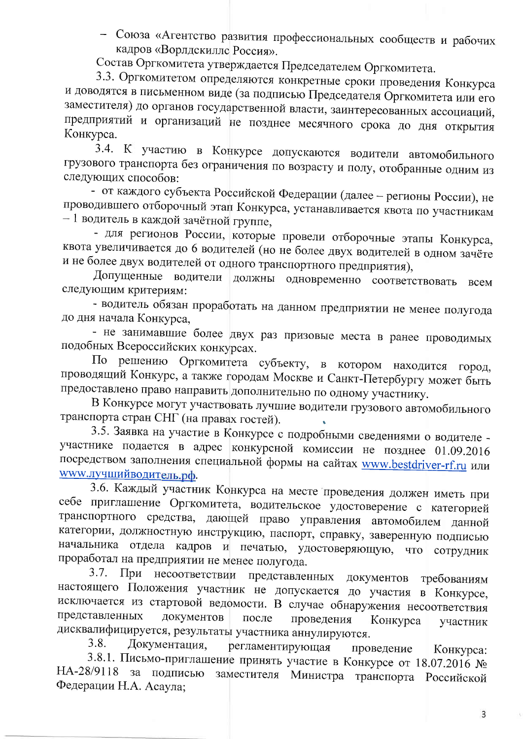- Союза «Агентство развития профессиональных сообществ и рабочих кадров «Ворлдскиллс Россия».

Состав Оргкомитета утверждается Председателем Оргкомитета.

3.3. Оргкомитетом определяются конкретные сроки проведения Конкурса и доводятся в письменном виде (за подписью Председателя Оргкомитета или его заместителя) до органов государственной власти, заинтересованных ассоциаций, предприятий и организаций не позднее месячного срока до дня открытия Конкурса.

3.4. К участию в Конкурсе допускаются водители автомобильного грузового транспорта без ограничения по возрасту и полу, отобранные одним из следующих способов:

- от каждого субъекта Российской Федерации (далее - регионы России), не проводившего отборочный этап Конкурса, устанавливается квота по участникам - 1 водитель в каждой зачётной группе,

- для регионов России, которые провели отборочные этапы Конкурса, квота увеличивается до 6 водителей (но не более двух водителей в одном зачёте и не более двух водителей от одного транспортного предприятия),

Допущенные водители должны одновременно соответствовать всем следующим критериям:

- водитель обязан проработать на данном предприятии не менее полугода до дня начала Конкурса,

- не занимавшие более двух раз призовые места в ранее проводимых подобных Всероссийских конкурсах.

По решению Оргкомитета субъекту, в котором находится город, проводящий Конкурс, а также городам Москве и Санкт-Петербургу может быть предоставлено право направить дополнительно по одному участнику.

В Конкурсе могут участвовать лучшие водители грузового автомобильного транспорта стран СНГ (на правах гостей).

3.5. Заявка на участие в Конкурсе с подробными сведениями о водителе участнике подается в адрес конкурсной комиссии не позднее 01.09.2016 посредством заполнения специальной формы на сайтах www.bestdriver-rf.ru или <u>www.лучшийводитель.рф.</u>

3.6. Каждый участник Конкурса на месте проведения должен иметь при себе приглашение Оргкомитета, водительское удостоверение с категорией транспортного средства, дающей право управления автомобилем данной категории, должностную инструкцию, паспорт, справку, заверенную подписью начальника отдела кадров и печатью, удостоверяющую, что сотрудник проработал на предприятии не менее полугода.

При несоответствии представленных  $3.7.$ документов требованиям настоящего Положения участник не допускается до участия в Конкурсе, исключается из стартовой ведомости. В случае обнаружения несоответствия представленных документов после проведения Конкурса участник дисквалифицируется, результаты участника аннулируются.

Документация, 3.8. регламентирующая проведение Конкурса: 3.8.1. Письмо-приглашение принять участие в Конкурсе от 18.07.2016 № HA-28/9118 заместителя Министра транспорта Российской за подписью Федерации Н.А. Асаула;

3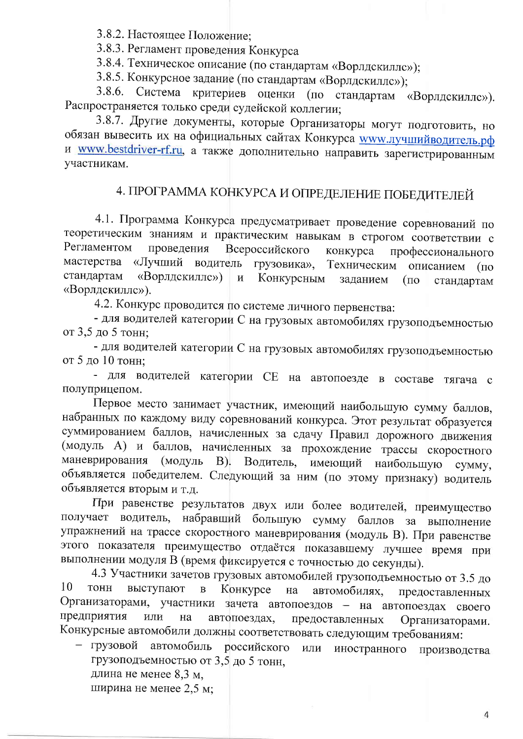3.8.2. Настоящее Положение;

3.8.3. Регламент проведения Конкурса

3.8.4. Техническое описание (по стандартам «Ворлдскиллс»);

3.8.5. Конкурсное задание (по стандартам «Ворлдскиллс»);

3.8.6. Система критериев оценки (по стандартам «Ворлдскиллс»). Распространяется только среди судейской коллегии;

3.8.7. Другие документы, которые Организаторы могут подготовить, но обязан вывесить их на официальных сайтах Конкурса **www.лучшийводитель.рф** и www.bestdriver-rf.ru, а также дополнительно направить зарегистрированным участникам.

# 4. ПРОГРАММА КОНКУРСА И ОПРЕДЕЛЕНИЕ ПОБЕДИТЕЛЕЙ

4.1. Программа Конкурса предусматривает проведение соревнований по теоретическим знаниям и практическим навыкам в строгом соответствии с Регламентом проведения Всероссийского конкурса профессионального мастерства «Лучший водитель грузовика». Техническим описанием  $($  $\Pi$ <sup>O</sup> стандартам «Ворлдскиллс») Конкурсным  $\overline{\mathbf{M}}$ заданием  $(nq)$ стандартам «Ворлдскиллс»).

4.2. Конкурс проводится по системе личного первенства:

- для водителей категории С на грузовых автомобилях грузоподъемностью от 3,5 до 5 тонн;

- для водителей категории С на грузовых автомобилях грузоподъемностью от 5 до 10 тонн:

- для водителей категории СЕ на автопоезде в составе тягача с полуприцепом.

Первое место занимает участник, имеющий наибольшую сумму баллов, набранных по каждому виду соревнований конкурса. Этот результат образуется суммированием баллов, начисленных за сдачу Правил дорожного движения (модуль А) и баллов, начисленных за прохождение трассы скоростного маневрирования (модуль В). Водитель, имеющий наибольшую сумму, объявляется победителем. Следующий за ним (по этому признаку) водитель объявляется вторым и т.д.

При равенстве результатов двух или более водителей, преимущество получает водитель, набравший большую сумму баллов за выполнение упражнений на трассе скоростного маневрирования (модуль В). При равенстве этого показателя преимущество отдаётся показавшему лучшее время при выполнении модуля В (время фиксируется с точностью до секунды).

4.3 Участники зачетов грузовых автомобилей грузоподъемностью от 3.5 до 10 ТОНН выступают  $\, {\bf B}$ Конкурсе автомобилях, на предоставленных Организаторами, участники зачета автопоездов - на автопоездах своего предприятия ИЛИ автопоездах, на предоставленных Организаторами. Конкурсные автомобили должны соответствовать следующим требованиям:

- грузовой автомобиль российского иностранного производства ИЛИ грузоподъемностью от 3,5 до 5 тонн, длина не менее 8,3 м,

ширина не менее 2,5 м;

 $\overline{4}$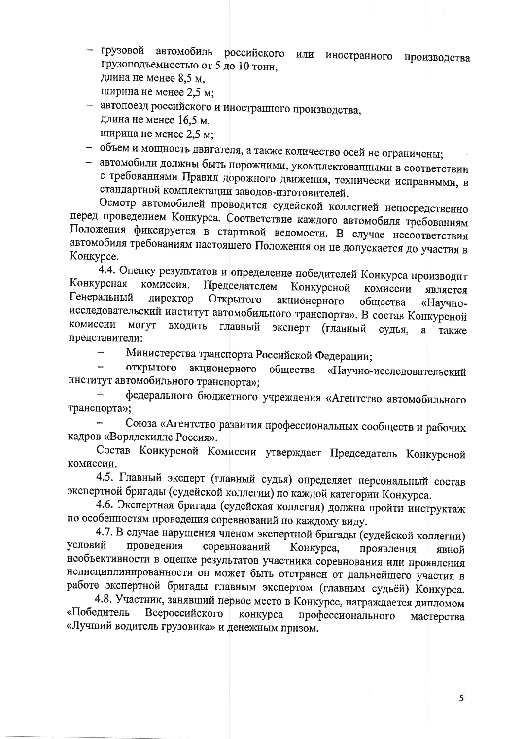грузовой автомобиль российского или иностранного производства грузоподъемностью от 5 до 10 тонн, длина не менее 8.5 м. ширина не менее 2,5 м;

- автопоезд российского и иностранного производства, длина не менее 16,5 м. ширина не менее 2,5 м;

- объем и мощность двигателя, а также количество осей не ограничены;

- автомобили должны быть порожними, укомплектованными в соответствии с требованиями Правил дорожного движения, технически исправными, в стандартной комплектации заводов-изготовителей.

Осмотр автомобилей проводится судейской коллегией непосредственно перед проведением Конкурса. Соответствие каждого автомобиля требованиям Положения фиксируется в стартовой ведомости. В случае несоответствия автомобиля требованиям настоящего Положения он не допускается до участия в Конкурсе.

4.4. Оценку результатов и определение победителей Конкурса производит Конкурсная комиссия. Председателем Конкурсной комиссии является Генеральный директор Открытого акционерного общества «Научноисследовательский институт автомобильного транспорта». В состав Конкурсной комиссии могут входить главный эксперт (главный судья, также a представители:

Министерства транспорта Российской Федерации;  $\rightarrow$ 

открытого акционерного общества «Научно-исследовательский институт автомобильного транспорта»;

федерального бюджетного учреждения «Агентство автомобильного транспорта»;

Союза «Агентство развития профессиональных сообществ и рабочих кадров «Ворлдскиллс Россия».

Состав Конкурсной Комиссии утверждает Председатель Конкурсной комиссии.

4.5. Главный эксперт (главный судья) определяет персональный состав экспертной бригады (судейской коллегии) по каждой категории Конкурса.

4.6. Экспертная бригада (судейская коллегия) должна пройти инструктаж по особенностям проведения соревнований по каждому виду.

4.7. В случае нарушения членом экспертной бригады (судейской коллегии) условий проведения соревнований Конкурса, проявления явной необъективности в оценке результатов участника соревнования или проявления недисциплинированности он может быть отстранен от дальнейшего участия в работе экспертной бригады главным экспертом (главным судьёй) Конкурса.

4.8. Участник, занявший первое место в Конкурсе, награждается дипломом «Победитель Всероссийского конкурса профессионального мастерства «Лучший водитель грузовика» и денежным призом.

5